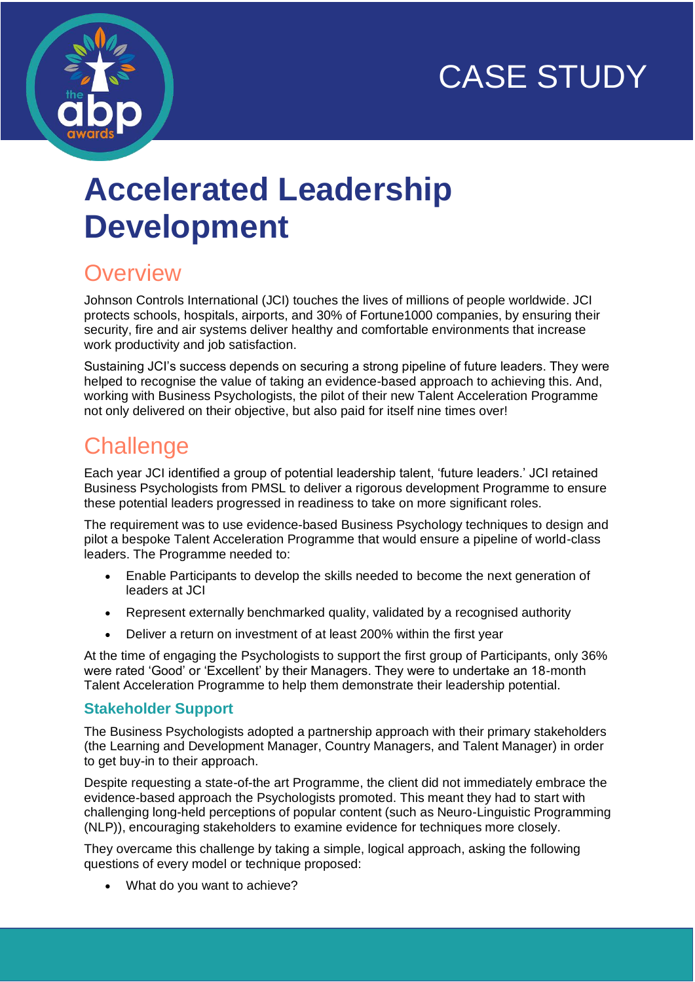# CASE STUDY



# **Accelerated Leadership Development**

## **Overview**

Johnson Controls International (JCI) touches the lives of millions of people worldwide. JCI protects schools, hospitals, airports, and 30% of Fortune1000 companies, by ensuring their security, fire and air systems deliver healthy and comfortable environments that increase work productivity and job satisfaction.

Sustaining JCI's success depends on securing a strong pipeline of future leaders. They were helped to recognise the value of taking an evidence-based approach to achieving this. And, working with Business Psychologists, the pilot of their new Talent Acceleration Programme not only delivered on their objective, but also paid for itself nine times over!

## **Challenge**

Each year JCI identified a group of potential leadership talent, 'future leaders.' JCI retained Business Psychologists from PMSL to deliver a rigorous development Programme to ensure these potential leaders progressed in readiness to take on more significant roles.

The requirement was to use evidence-based Business Psychology techniques to design and pilot a bespoke Talent Acceleration Programme that would ensure a pipeline of world-class leaders. The Programme needed to:

- Enable Participants to develop the skills needed to become the next generation of leaders at JCI
- Represent externally benchmarked quality, validated by a recognised authority
- Deliver a return on investment of at least 200% within the first year

At the time of engaging the Psychologists to support the first group of Participants, only 36% were rated 'Good' or 'Excellent' by their Managers. They were to undertake an 18-month Talent Acceleration Programme to help them demonstrate their leadership potential.

#### **Stakeholder Support**

The Business Psychologists adopted a partnership approach with their primary stakeholders (the Learning and Development Manager, Country Managers, and Talent Manager) in order to get buy-in to their approach.

Despite requesting a state-of-the art Programme, the client did not immediately embrace the evidence-based approach the Psychologists promoted. This meant they had to start with challenging long-held perceptions of popular content (such as Neuro-Linguistic Programming (NLP)), encouraging stakeholders to examine evidence for techniques more closely.

They overcame this challenge by taking a simple, logical approach, asking the following questions of every model or technique proposed:

• What do you want to achieve?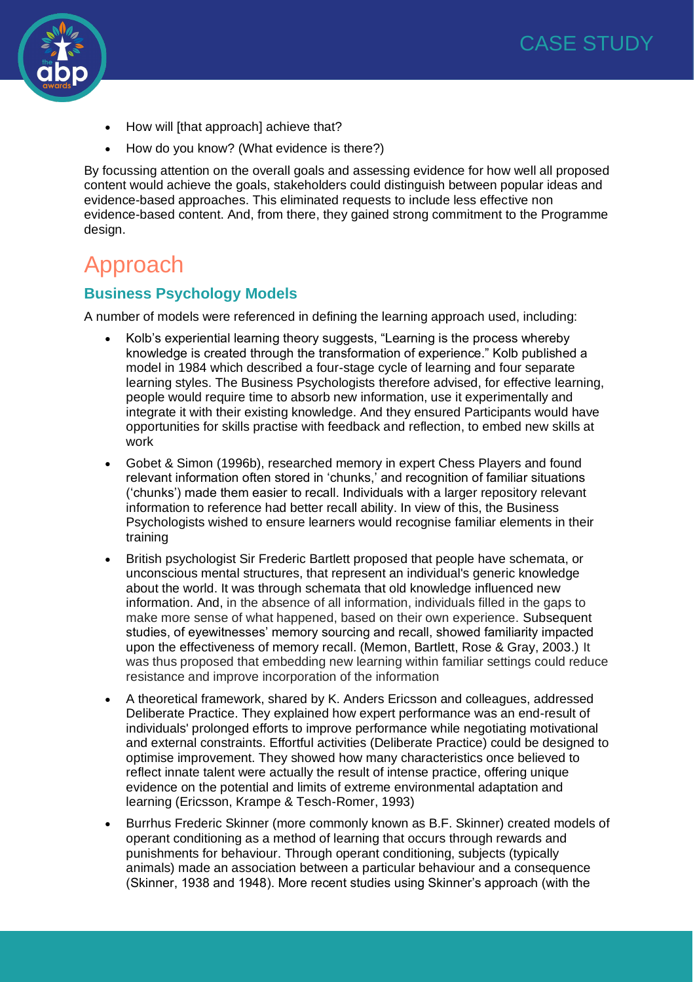

- How will [that approach] achieve that?
- How do you know? (What evidence is there?)

By focussing attention on the overall goals and assessing evidence for how well all proposed content would achieve the goals, stakeholders could distinguish between popular ideas and evidence-based approaches. This eliminated requests to include less effective non evidence-based content. And, from there, they gained strong commitment to the Programme design.

### Approach

#### **Business Psychology Models**

A number of models were referenced in defining the learning approach used, including:

- Kolb's experiential learning theory suggests, "Learning is the process whereby knowledge is created through the transformation of experience." Kolb published a model in 1984 which described a four-stage cycle of learning and four separate learning styles. The Business Psychologists therefore advised, for effective learning, people would require time to absorb new information, use it experimentally and integrate it with their existing knowledge. And they ensured Participants would have opportunities for skills practise with feedback and reflection, to embed new skills at work
- Gobet & Simon (1996b), researched memory in expert Chess Players and found relevant information often stored in 'chunks,' and recognition of familiar situations ('chunks') made them easier to recall. Individuals with a larger repository relevant information to reference had better recall ability. In view of this, the Business Psychologists wished to ensure learners would recognise familiar elements in their training
- British psychologist Sir Frederic Bartlett proposed that people have schemata, or unconscious mental structures, that represent an individual's generic knowledge about the world. It was through schemata that old knowledge influenced new information. And, in the absence of all information, individuals filled in the gaps to make more sense of what happened, based on their own experience. Subsequent studies, of eyewitnesses' memory sourcing and recall, showed familiarity impacted upon the effectiveness of memory recall. (Memon, Bartlett, Rose & Gray, 2003.) It was thus proposed that embedding new learning within familiar settings could reduce resistance and improve incorporation of the information
- A theoretical framework, shared by K. Anders Ericsson and colleagues, addressed Deliberate Practice. They explained how expert performance was an end-result of individuals' prolonged efforts to improve performance while negotiating motivational and external constraints. Effortful activities (Deliberate Practice) could be designed to optimise improvement. They showed how many characteristics once believed to reflect innate talent were actually the result of intense practice, offering unique evidence on the potential and limits of extreme environmental adaptation and learning (Ericsson, Krampe & Tesch-Romer, 1993)
- Burrhus Frederic Skinner (more commonly known as B.F. Skinner) created models of operant conditioning as a method of learning that occurs through rewards and punishments for behaviour. Through operant conditioning, subjects (typically animals) made an association between a particular behaviour and a consequence (Skinner, 1938 and 1948). More recent studies using Skinner's approach (with the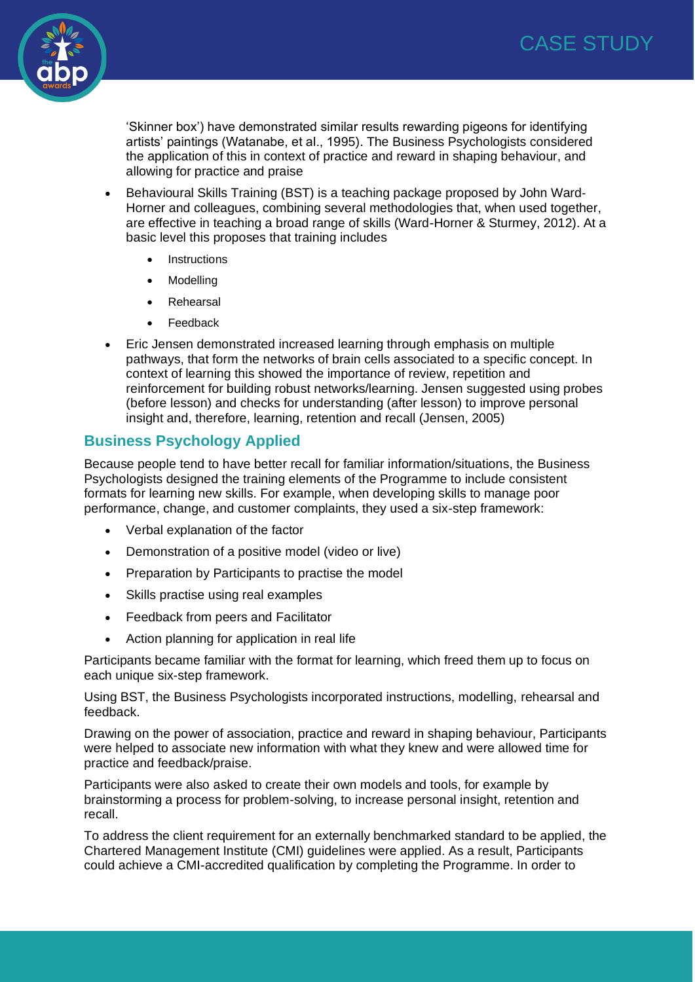

'Skinner box') have demonstrated similar results rewarding pigeons for identifying artists' paintings (Watanabe, et al., 1995). The Business Psychologists considered the application of this in context of practice and reward in shaping behaviour, and allowing for practice and praise

- Behavioural Skills Training (BST) is a teaching package proposed by John Ward‐ Horner and colleagues, combining several methodologies that, when used together, are effective in teaching a broad range of skills (Ward-Horner & Sturmey, 2012). At a basic level this proposes that training includes
	- **Instructions**
	- **Modelling**
	- **Rehearsal**
	- Feedback
- Eric Jensen demonstrated increased learning through emphasis on multiple pathways, that form the networks of brain cells associated to a specific concept. In context of learning this showed the importance of review, repetition and reinforcement for building robust networks/learning. Jensen suggested using probes (before lesson) and checks for understanding (after lesson) to improve personal insight and, therefore, learning, retention and recall (Jensen, 2005)

#### **Business Psychology Applied**

Because people tend to have better recall for familiar information/situations, the Business Psychologists designed the training elements of the Programme to include consistent formats for learning new skills. For example, when developing skills to manage poor performance, change, and customer complaints, they used a six-step framework:

- Verbal explanation of the factor
- Demonstration of a positive model (video or live)
- Preparation by Participants to practise the model
- Skills practise using real examples
- Feedback from peers and Facilitator
- Action planning for application in real life

Participants became familiar with the format for learning, which freed them up to focus on each unique six-step framework.

Using BST, the Business Psychologists incorporated instructions, modelling, rehearsal and feedback.

Drawing on the power of association, practice and reward in shaping behaviour, Participants were helped to associate new information with what they knew and were allowed time for practice and feedback/praise.

Participants were also asked to create their own models and tools, for example by brainstorming a process for problem-solving, to increase personal insight, retention and recall.

To address the client requirement for an externally benchmarked standard to be applied, the Chartered Management Institute (CMI) guidelines were applied. As a result, Participants could achieve a CMI-accredited qualification by completing the Programme. In order to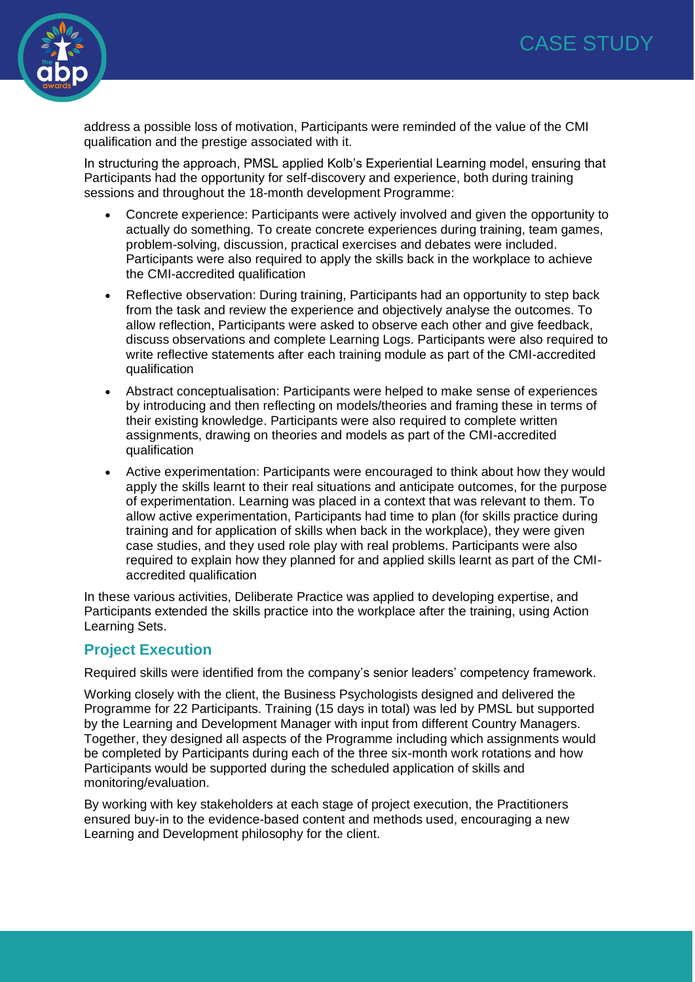

address a possible loss of motivation, Participants were reminded of the value of the CMI qualification and the prestige associated with it.

In structuring the approach, PMSL applied Kolb's Experiential Learning model, ensuring that Participants had the opportunity for self-discovery and experience, both during training sessions and throughout the 18-month development Programme:

- Concrete experience: Participants were actively involved and given the opportunity to actually do something. To create concrete experiences during training, team games, problem-solving, discussion, practical exercises and debates were included. Participants were also required to apply the skills back in the workplace to achieve the CMI-accredited qualification
- Reflective observation: During training, Participants had an opportunity to step back from the task and review the experience and objectively analyse the outcomes. To allow reflection, Participants were asked to observe each other and give feedback, discuss observations and complete Learning Logs. Participants were also required to write reflective statements after each training module as part of the CMI-accredited qualification
- Abstract conceptualisation: Participants were helped to make sense of experiences by introducing and then reflecting on models/theories and framing these in terms of their existing knowledge. Participants were also required to complete written assignments, drawing on theories and models as part of the CMI-accredited qualification
- Active experimentation: Participants were encouraged to think about how they would apply the skills learnt to their real situations and anticipate outcomes, for the purpose of experimentation. Learning was placed in a context that was relevant to them. To allow active experimentation, Participants had time to plan (for skills practice during training and for application of skills when back in the workplace), they were given case studies, and they used role play with real problems. Participants were also required to explain how they planned for and applied skills learnt as part of the CMIaccredited qualification

In these various activities, Deliberate Practice was applied to developing expertise, and Participants extended the skills practice into the workplace after the training, using Action Learning Sets.

#### **Project Execution**

Required skills were identified from the company's senior leaders' competency framework.

Working closely with the client, the Business Psychologists designed and delivered the Programme for 22 Participants. Training (15 days in total) was led by PMSL but supported by the Learning and Development Manager with input from different Country Managers. Together, they designed all aspects of the Programme including which assignments would be completed by Participants during each of the three six-month work rotations and how Participants would be supported during the scheduled application of skills and monitoring/evaluation.

By working with key stakeholders at each stage of project execution, the Practitioners ensured buy-in to the evidence-based content and methods used, encouraging a new Learning and Development philosophy for the client.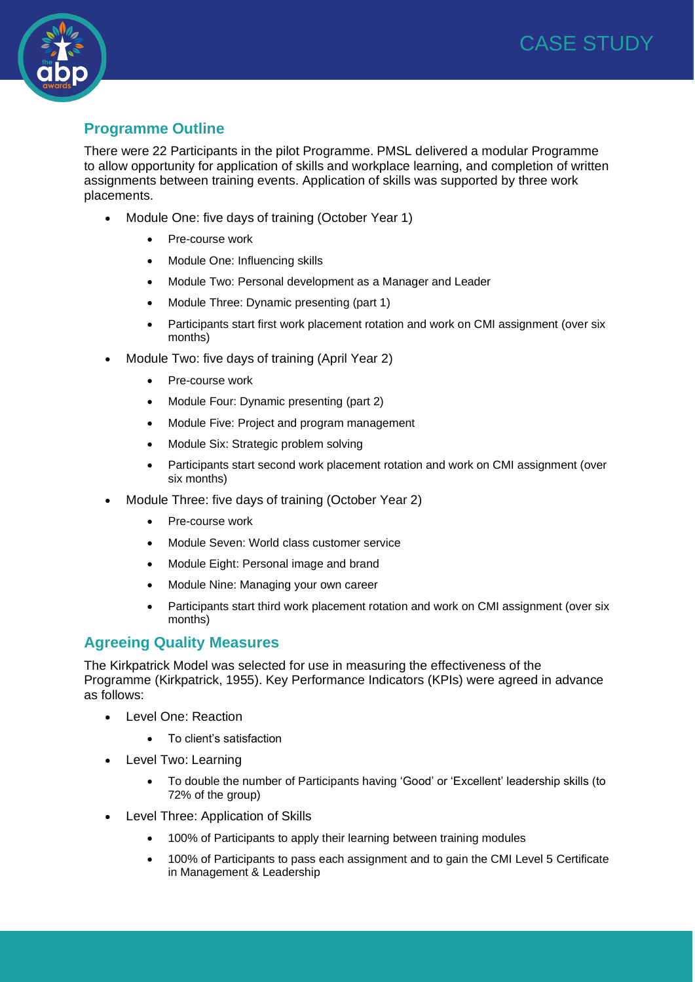

#### **Programme Outline**

There were 22 Participants in the pilot Programme. PMSL delivered a modular Programme to allow opportunity for application of skills and workplace learning, and completion of written assignments between training events. Application of skills was supported by three work placements.

- Module One: five days of training (October Year 1)
	- Pre-course work
	- Module One: Influencing skills
	- Module Two: Personal development as a Manager and Leader
	- Module Three: Dynamic presenting (part 1)
	- Participants start first work placement rotation and work on CMI assignment (over six months)
- Module Two: five days of training (April Year 2)
	- Pre-course work
	- Module Four: Dynamic presenting (part 2)
	- Module Five: Project and program management
	- Module Six: Strategic problem solving
	- Participants start second work placement rotation and work on CMI assignment (over six months)
- Module Three: five days of training (October Year 2)
	- Pre-course work
	- Module Seven: World class customer service
	- Module Eight: Personal image and brand
	- Module Nine: Managing your own career
	- Participants start third work placement rotation and work on CMI assignment (over six months)

#### **Agreeing Quality Measures**

The Kirkpatrick Model was selected for use in measuring the effectiveness of the Programme (Kirkpatrick, 1955). Key Performance Indicators (KPIs) were agreed in advance as follows:

- Level One: Reaction
	- To client's satisfaction
- Level Two: Learning
	- To double the number of Participants having 'Good' or 'Excellent' leadership skills (to 72% of the group)
- Level Three: Application of Skills
	- 100% of Participants to apply their learning between training modules
	- 100% of Participants to pass each assignment and to gain the CMI Level 5 Certificate in Management & Leadership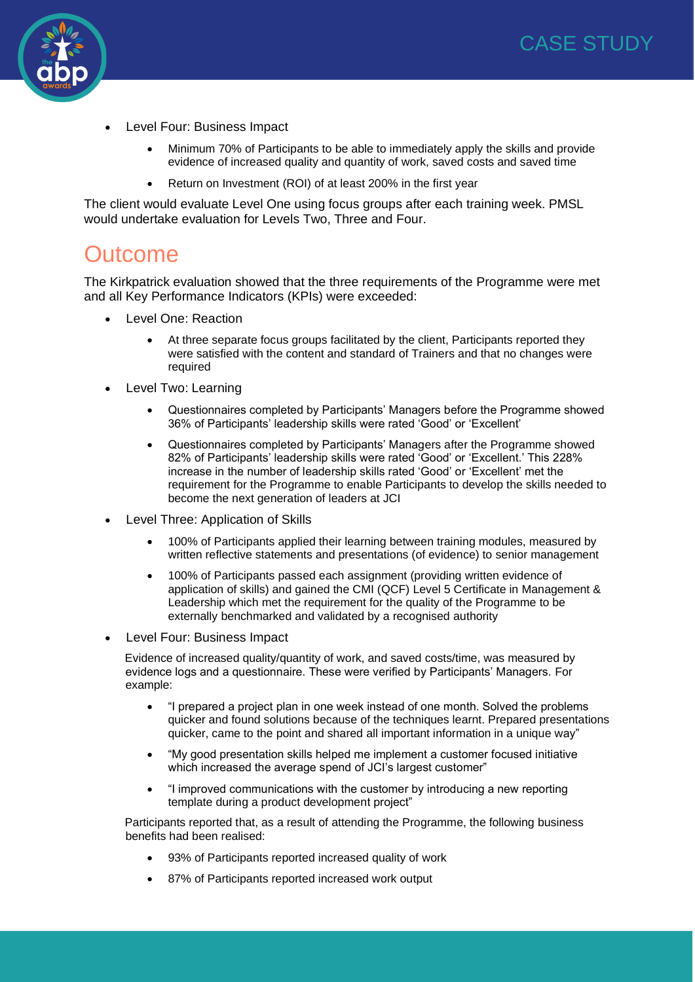

- Level Four: Business Impact
	- Minimum 70% of Participants to be able to immediately apply the skills and provide evidence of increased quality and quantity of work, saved costs and saved time
	- Return on Investment (ROI) of at least 200% in the first year

The client would evaluate Level One using focus groups after each training week. PMSL would undertake evaluation for Levels Two, Three and Four.

### **Outcome**

The Kirkpatrick evaluation showed that the three requirements of the Programme were met and all Key Performance Indicators (KPIs) were exceeded:

- Level One: Reaction
	- At three separate focus groups facilitated by the client, Participants reported they were satisfied with the content and standard of Trainers and that no changes were required
- Level Two: Learning
	- Questionnaires completed by Participants' Managers before the Programme showed 36% of Participants' leadership skills were rated 'Good' or 'Excellent'
	- Questionnaires completed by Participants' Managers after the Programme showed 82% of Participants' leadership skills were rated 'Good' or 'Excellent.' This 228% increase in the number of leadership skills rated 'Good' or 'Excellent' met the requirement for the Programme to enable Participants to develop the skills needed to become the next generation of leaders at JCI
- Level Three: Application of Skills
	- 100% of Participants applied their learning between training modules, measured by written reflective statements and presentations (of evidence) to senior management
	- 100% of Participants passed each assignment (providing written evidence of application of skills) and gained the CMI (QCF) Level 5 Certificate in Management & Leadership which met the requirement for the quality of the Programme to be externally benchmarked and validated by a recognised authority
- Level Four: Business Impact

Evidence of increased quality/quantity of work, and saved costs/time, was measured by evidence logs and a questionnaire. These were verified by Participants' Managers. For example:

- "I prepared a project plan in one week instead of one month. Solved the problems quicker and found solutions because of the techniques learnt. Prepared presentations quicker, came to the point and shared all important information in a unique way"
- "My good presentation skills helped me implement a customer focused initiative which increased the average spend of JCI's largest customer"
- "I improved communications with the customer by introducing a new reporting template during a product development project"

Participants reported that, as a result of attending the Programme, the following business benefits had been realised:

- 93% of Participants reported increased quality of work
- 87% of Participants reported increased work output